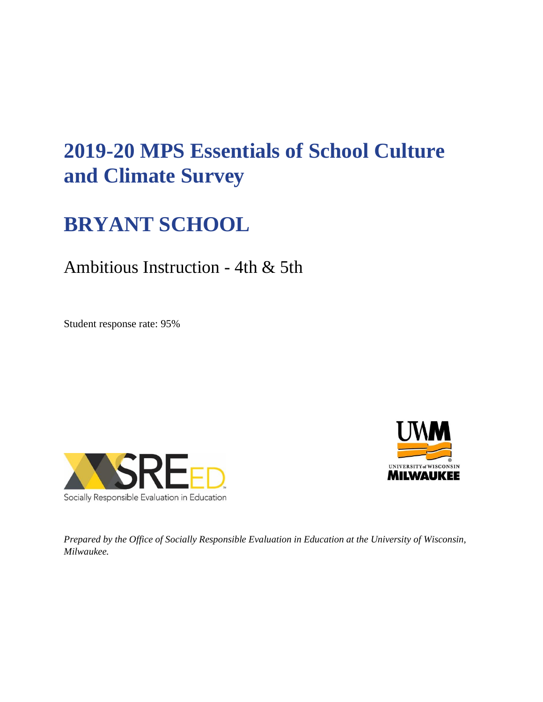# **2019-20 MPS Essentials of School Culture and Climate Survey**

# **BRYANT SCHOOL**

# Ambitious Instruction - 4th & 5th

Student response rate: 95%





*Prepared by the Office of Socially Responsible Evaluation in Education at the University of Wisconsin, Milwaukee.*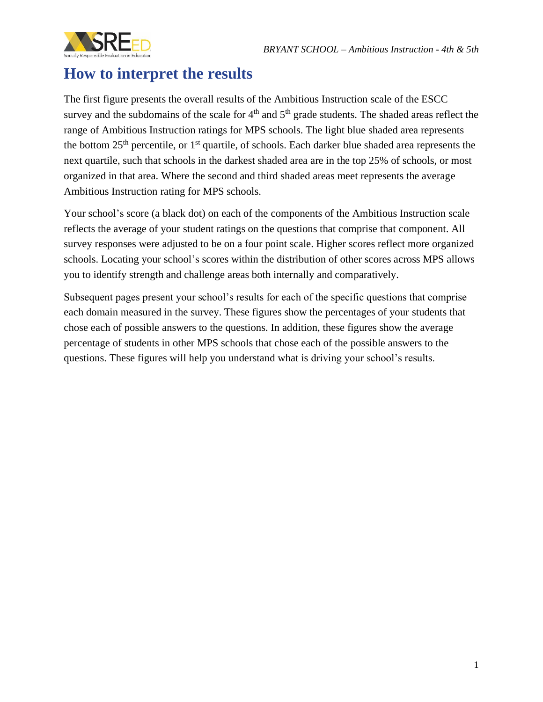

# **How to interpret the results**

The first figure presents the overall results of the Ambitious Instruction scale of the ESCC survey and the subdomains of the scale for  $4<sup>th</sup>$  and  $5<sup>th</sup>$  grade students. The shaded areas reflect the range of Ambitious Instruction ratings for MPS schools. The light blue shaded area represents the bottom  $25<sup>th</sup>$  percentile, or  $1<sup>st</sup>$  quartile, of schools. Each darker blue shaded area represents the next quartile, such that schools in the darkest shaded area are in the top 25% of schools, or most organized in that area. Where the second and third shaded areas meet represents the average Ambitious Instruction rating for MPS schools.

Your school's score (a black dot) on each of the components of the Ambitious Instruction scale reflects the average of your student ratings on the questions that comprise that component. All survey responses were adjusted to be on a four point scale. Higher scores reflect more organized schools. Locating your school's scores within the distribution of other scores across MPS allows you to identify strength and challenge areas both internally and comparatively.

Subsequent pages present your school's results for each of the specific questions that comprise each domain measured in the survey. These figures show the percentages of your students that chose each of possible answers to the questions. In addition, these figures show the average percentage of students in other MPS schools that chose each of the possible answers to the questions. These figures will help you understand what is driving your school's results.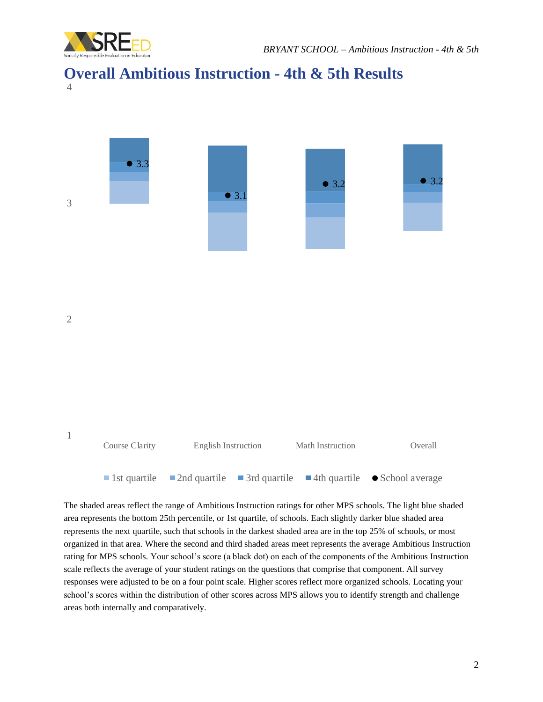

#### **Overall Ambitious Instruction - 4th & 5th Results** 4



The shaded areas reflect the range of Ambitious Instruction ratings for other MPS schools. The light blue shaded area represents the bottom 25th percentile, or 1st quartile, of schools. Each slightly darker blue shaded area represents the next quartile, such that schools in the darkest shaded area are in the top 25% of schools, or most organized in that area. Where the second and third shaded areas meet represents the average Ambitious Instruction rating for MPS schools. Your school's score (a black dot) on each of the components of the Ambitious Instruction scale reflects the average of your student ratings on the questions that comprise that component. All survey responses were adjusted to be on a four point scale. Higher scores reflect more organized schools. Locating your school's scores within the distribution of other scores across MPS allows you to identify strength and challenge areas both internally and comparatively.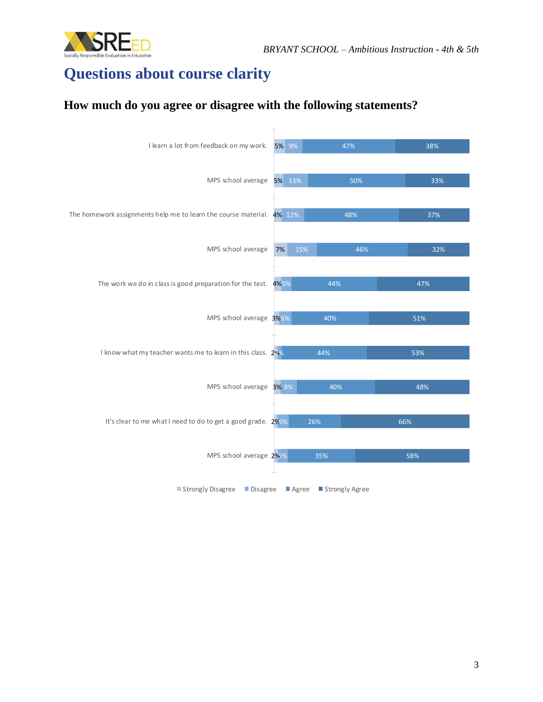

# **Questions about course clarity**

#### **How much do you agree or disagree with the following statements?**

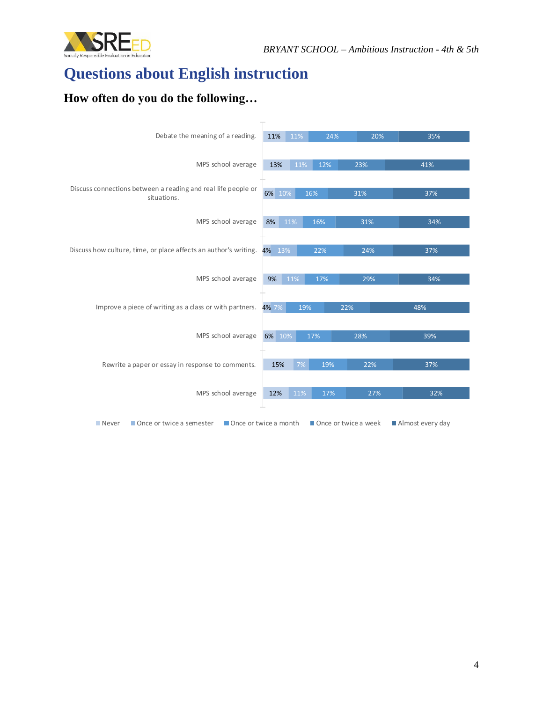

# **Questions about English instruction**

### **How often do you do the following…**

| Debate the meaning of a reading.                                             | 11%    | 11% | 24% | 20%                  | 35%              |
|------------------------------------------------------------------------------|--------|-----|-----|----------------------|------------------|
|                                                                              |        |     |     |                      |                  |
| MPS school average                                                           | 13%    | 11% | 12% | 23%                  | 41%              |
|                                                                              |        |     |     |                      |                  |
| Discuss connections between a reading and real life people or<br>situations. | 6% 10% |     | 16% | 31%                  | 37%              |
|                                                                              |        |     |     |                      |                  |
| MPS school average                                                           | 8%     | 11% | 16% | 31%                  | 34%              |
|                                                                              |        |     |     |                      |                  |
| Discuss how culture, time, or place affects an author's writing. 4% 13%      |        |     | 22% | 24%                  | 37%              |
|                                                                              |        |     |     |                      |                  |
| MPS school average                                                           | 9%     | 11% | 17% | 29%                  | 34%              |
|                                                                              |        |     |     |                      |                  |
| Improve a piece of writing as a class or with partners.                      |        |     |     |                      |                  |
|                                                                              | 4% 7%  | 19% |     | 22%                  | 48%              |
|                                                                              |        |     |     |                      |                  |
| MPS school average                                                           | 6% 10% |     | 17% | 28%                  | 39%              |
|                                                                              |        |     |     |                      |                  |
| Rewrite a paper or essay in response to comments.                            | 15%    | 7%  | 19% | 22%                  | 37%              |
|                                                                              |        |     |     |                      |                  |
| MPS school average                                                           | 12%    | 11% | 17% | 27%                  | 32%              |
|                                                                              |        |     |     |                      |                  |
| <b>Never</b><br>Once or twice a semester<br>Once or twice a month            |        |     |     | Once or twice a week | Almost every day |